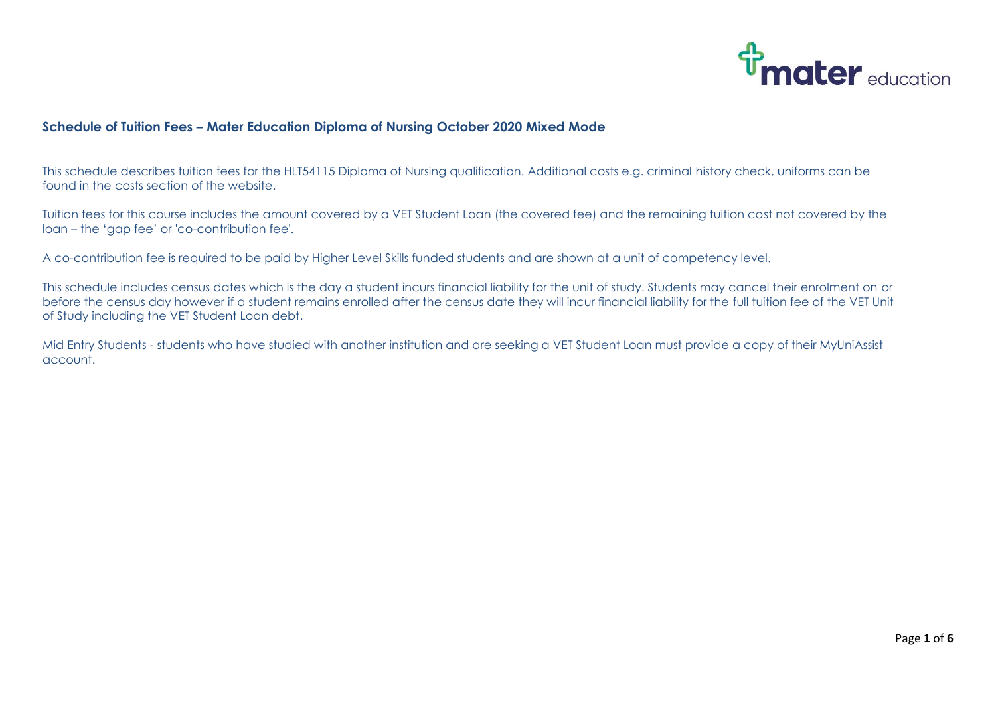

## **Schedule of Tuition Fees – Mater Education Diploma of Nursing October 2020 Mixed Mode**

This schedule describes tuition fees for the HLT54115 Diploma of Nursing qualification. Additional costs e.g. criminal history check, uniforms can be found in the costs section of the website.

Tuition fees for this course includes the amount covered by a VET Student Loan (the covered fee) and the remaining tuition cost not covered by the loan – the 'gap fee' or 'co-contribution fee'.

A co-contribution fee is required to be paid by Higher Level Skills funded students and are shown at a unit of competency level.

This schedule includes census dates which is the day a student incurs financial liability for the unit of study. Students may cancel their enrolment on or before the census day however if a student remains enrolled after the census date they will incur financial liability for the full tuition fee of the VET Unit of Study including the VET Student Loan debt.

Mid Entry Students - students who have studied with another institution and are seeking a VET Student Loan must provide a copy of their MyUniAssist account.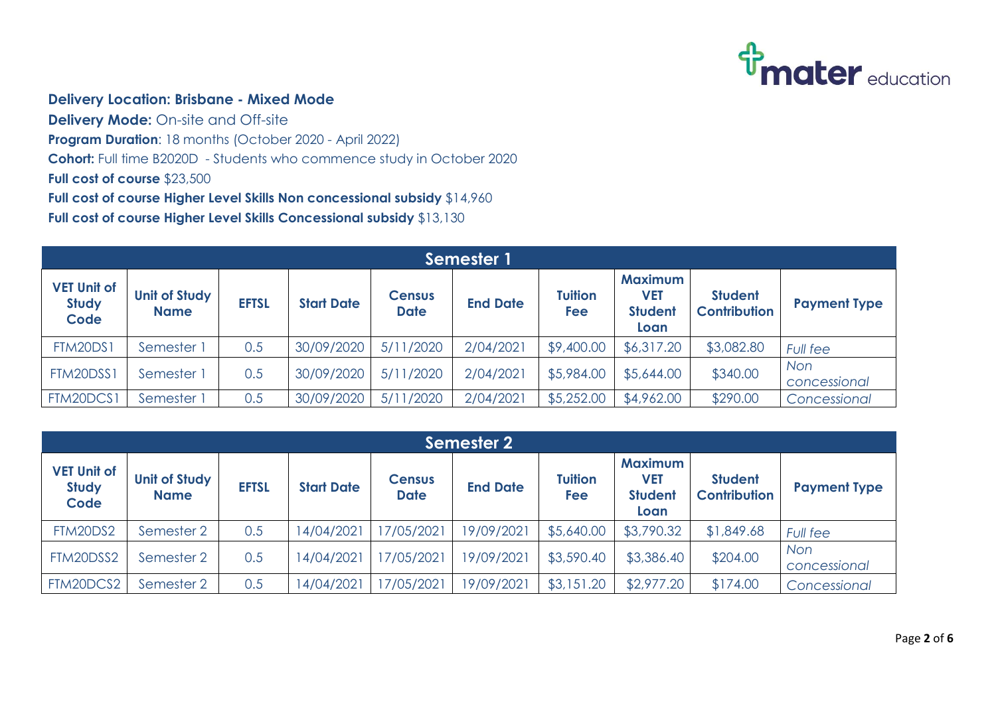

## **Delivery Location: Brisbane - Mixed Mode**

**Delivery Mode:** On-site and Off-site **Program Duration**: 18 months (October 2020 - April 2022) **Cohort:** Full time B2020D - Students who commence study in October 2020 **Full cost of course** \$23,500 **Full cost of course Higher Level Skills Non concessional subsidy** \$14,960 **Full cost of course Higher Level Skills Concessional subsidy** \$13,130

| Semester 1                                 |                                     |              |                   |                              |                 |                       |                                                 |                                       |                            |  |
|--------------------------------------------|-------------------------------------|--------------|-------------------|------------------------------|-----------------|-----------------------|-------------------------------------------------|---------------------------------------|----------------------------|--|
| <b>VET Unit of</b><br><b>Study</b><br>Code | <b>Unit of Study</b><br><b>Name</b> | <b>EFTSL</b> | <b>Start Date</b> | <b>Census</b><br><b>Date</b> | <b>End Date</b> | <b>Tuition</b><br>Fee | <b>Maximum</b><br>VET<br><b>Student</b><br>Loan | <b>Student</b><br><b>Contribution</b> | <b>Payment Type</b>        |  |
| <b>FTM20DS1</b>                            | Semester 1                          | 0.5          | 30/09/2020        | 5/11/2020                    | 2/04/2021       | \$9,400.00            | \$6,317.20                                      | \$3,082.80                            | <b>Full fee</b>            |  |
| FTM20DSS1                                  | Semester 1                          | 0.5          | 30/09/2020        | 5/11/2020                    | 2/04/2021       | \$5,984.00            | \$5,644.00                                      | \$340.00                              | <b>Non</b><br>concessional |  |
| FTM20DCS1                                  | Semester 1                          | 0.5          | 30/09/2020        | 5/11/2020                    | 2/04/2021       | \$5,252.00            | \$4,962.00                                      | \$290.00                              | Concessional               |  |

| <b>Semester 2</b>                          |                                     |              |                   |                              |                 |                       |                                                 |                                       |                            |  |
|--------------------------------------------|-------------------------------------|--------------|-------------------|------------------------------|-----------------|-----------------------|-------------------------------------------------|---------------------------------------|----------------------------|--|
| <b>VET Unit of</b><br><b>Study</b><br>Code | <b>Unit of Study</b><br><b>Name</b> | <b>EFTSL</b> | <b>Start Date</b> | <b>Census</b><br><b>Date</b> | <b>End Date</b> | <b>Tuition</b><br>Fee | <b>Maximum</b><br>VET<br><b>Student</b><br>Loan | <b>Student</b><br><b>Contribution</b> | <b>Payment Type</b>        |  |
| FTM20DS2                                   | Semester 2                          | 0.5          | 14/04/2021        | 17/05/2021                   | 19/09/2021      | \$5,640.00            | \$3,790.32                                      | \$1,849.68                            | <b>Full fee</b>            |  |
| FTM20DSS2                                  | Semester 2                          | 0.5          | 14/04/2021        | 17/05/2021                   | 19/09/2021      | \$3,590.40            | \$3,386.40                                      | \$204.00                              | <b>Non</b><br>concessional |  |
| FTM20DCS2                                  | Semester 2                          | 0.5          | 14/04/2021        | 17/05/2021                   | 19/09/2021      | \$3,151.20            | \$2,977.20                                      | \$174.00                              | Concessional               |  |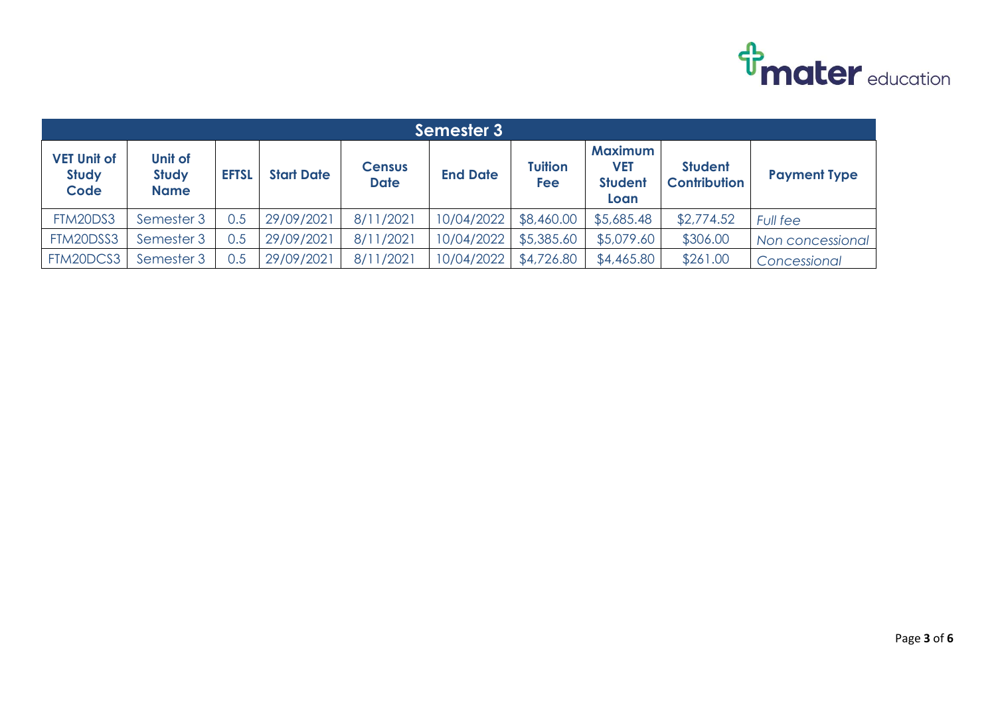

|                                            | Semester 3                             |              |                   |                              |                 |                       |                                                        |                                       |                     |  |  |  |
|--------------------------------------------|----------------------------------------|--------------|-------------------|------------------------------|-----------------|-----------------------|--------------------------------------------------------|---------------------------------------|---------------------|--|--|--|
| <b>VET Unit of</b><br><b>Study</b><br>Code | Unit of<br><b>Study</b><br><b>Name</b> | <b>EFTSL</b> | <b>Start Date</b> | <b>Census</b><br><b>Date</b> | <b>End Date</b> | <b>Tuition</b><br>Fee | <b>Maximum</b><br><b>VET</b><br><b>Student</b><br>Loan | <b>Student</b><br><b>Contribution</b> | <b>Payment Type</b> |  |  |  |
| FTM20DS3                                   | Semester 3                             | 0.5          | 29/09/2021        | 8/11/2021                    | 10/04/2022      | \$8,460.00            | \$5,685.48                                             | \$2,774.52                            | <b>Full fee</b>     |  |  |  |
| FTM20DSS3                                  | Semester 3                             | 0.5          | 29/09/2021        | 8/11/2021                    | 10/04/2022      | \$5,385.60            | \$5,079.60                                             | \$306.00                              | Non concessional    |  |  |  |
| FTM20DCS3                                  | Semester 3                             | 0.5          | 29/09/2021        | 8/11/2021                    | 10/04/2022      | \$4,726.80            | \$4,465.80                                             | \$261.00                              | Concessional        |  |  |  |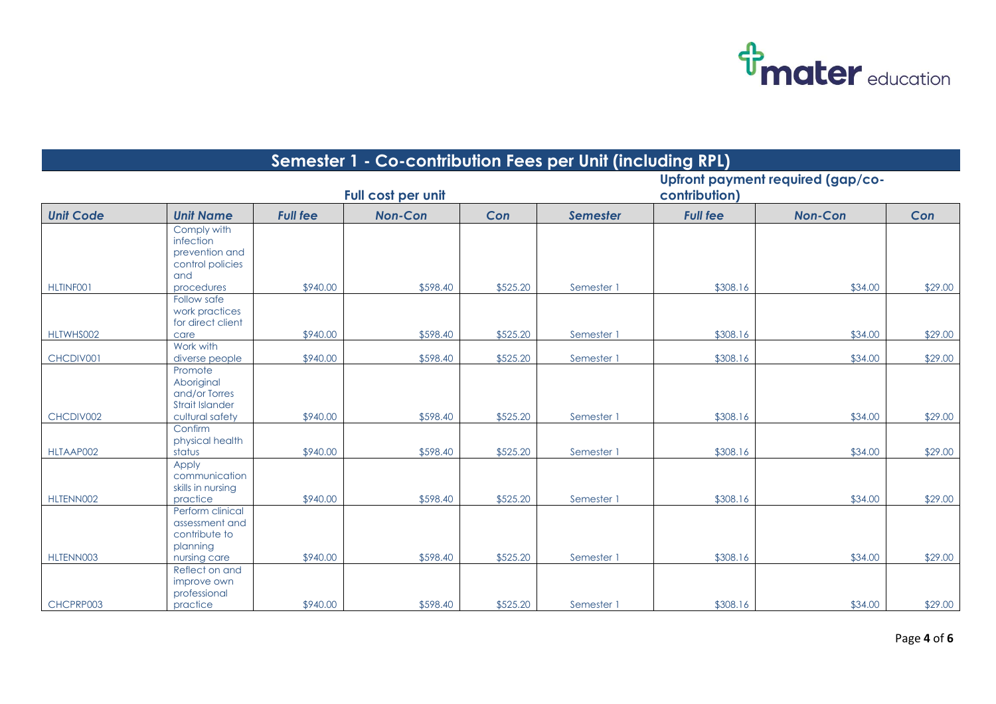

|                  | Semester 1 - Co-contribution Fees per Unit (including RPL)                          |                 |                    |          |                                                    |                 |                |         |  |  |  |  |  |
|------------------|-------------------------------------------------------------------------------------|-----------------|--------------------|----------|----------------------------------------------------|-----------------|----------------|---------|--|--|--|--|--|
|                  |                                                                                     |                 | Full cost per unit |          | Upfront payment required (gap/co-<br>contribution) |                 |                |         |  |  |  |  |  |
| <b>Unit Code</b> | <b>Unit Name</b>                                                                    | <b>Full fee</b> | <b>Non-Con</b>     | Con      | <b>Semester</b>                                    | <b>Full fee</b> | <b>Non-Con</b> | Con     |  |  |  |  |  |
|                  | Comply with<br>infection<br>prevention and<br>control policies<br>and               |                 |                    |          |                                                    |                 |                |         |  |  |  |  |  |
| HLTINF001        | procedures                                                                          | \$940.00        | \$598.40           | \$525.20 | Semester 1                                         | \$308.16        | \$34.00        | \$29.00 |  |  |  |  |  |
|                  | Follow safe<br>work practices<br>for direct client                                  |                 |                    |          |                                                    |                 |                |         |  |  |  |  |  |
| HLTWHS002        | care<br>Work with                                                                   | \$940.00        | \$598.40           | \$525.20 | Semester 1                                         | \$308.16        | \$34.00        | \$29.00 |  |  |  |  |  |
| CHCDIV001        | diverse people                                                                      | \$940.00        | \$598.40           | \$525.20 | Semester 1                                         | \$308.16        | \$34.00        | \$29.00 |  |  |  |  |  |
| CHCDIV002        | Promote<br>Aboriginal<br>and/or Torres<br><b>Strait Islander</b><br>cultural safety | \$940.00        | \$598.40           | \$525.20 | Semester 1                                         | \$308.16        | \$34.00        | \$29.00 |  |  |  |  |  |
| HLTAAP002        | Confirm<br>physical health<br>status                                                | \$940.00        | \$598.40           | \$525.20 | Semester 1                                         | \$308.16        | \$34.00        | \$29.00 |  |  |  |  |  |
| HLTENN002        | Apply<br>communication<br>skills in nursing<br>practice                             | \$940.00        | \$598.40           | \$525.20 | Semester 1                                         | \$308.16        | \$34.00        | \$29.00 |  |  |  |  |  |
| HLTENN003        | Perform clinical<br>assessment and<br>contribute to<br>planning<br>nursing care     | \$940.00        | \$598.40           | \$525.20 | Semester 1                                         | \$308.16        | \$34.00        | \$29.00 |  |  |  |  |  |
| CHCPRP003        | Reflect on and<br>improve own<br>professional<br>practice                           | \$940.00        | \$598.40           | \$525.20 | Semester 1                                         | \$308.16        | \$34.00        | \$29.00 |  |  |  |  |  |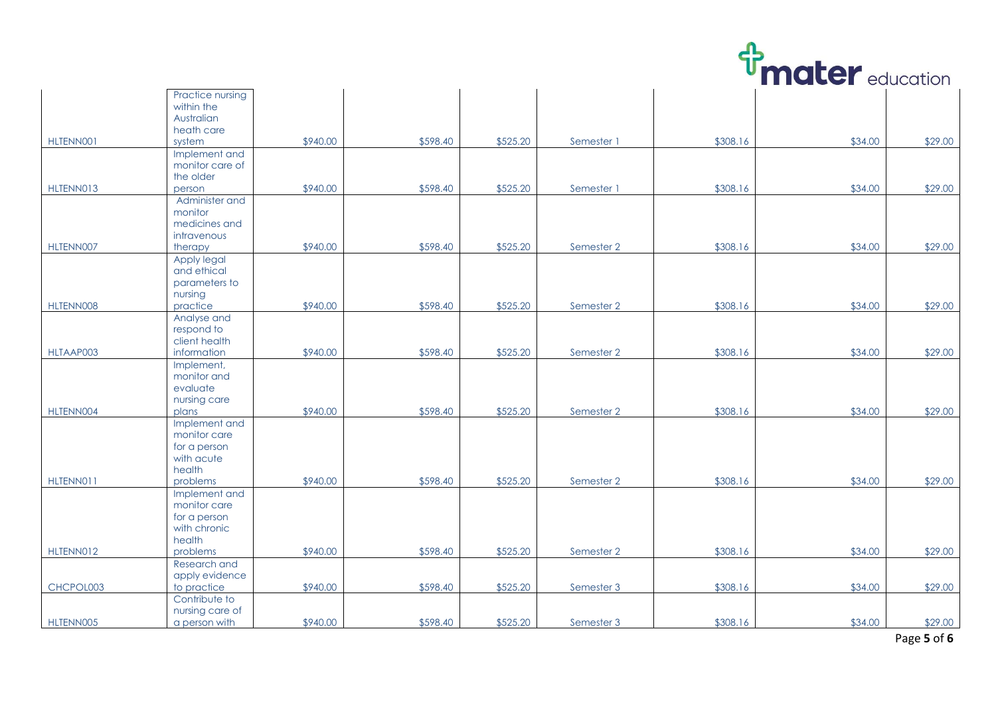

|           |                  |          |          |          |            |          |         | CUUCULIUI |
|-----------|------------------|----------|----------|----------|------------|----------|---------|-----------|
|           | Practice nursing |          |          |          |            |          |         |           |
|           | within the       |          |          |          |            |          |         |           |
|           | Australian       |          |          |          |            |          |         |           |
|           | heath care       |          |          |          |            |          |         |           |
| HLTENN001 | system           | \$940.00 | \$598.40 | \$525.20 | Semester 1 | \$308.16 | \$34.00 | \$29.00   |
|           | Implement and    |          |          |          |            |          |         |           |
|           | monitor care of  |          |          |          |            |          |         |           |
|           | the older        |          |          |          |            |          |         |           |
|           |                  |          |          |          |            |          |         |           |
| HLTENN013 | person           | \$940.00 | \$598.40 | \$525.20 | Semester 1 | \$308.16 | \$34.00 | \$29.00   |
|           | Administer and   |          |          |          |            |          |         |           |
|           | monitor          |          |          |          |            |          |         |           |
|           | medicines and    |          |          |          |            |          |         |           |
|           | intravenous      |          |          |          |            |          |         |           |
| HLTENN007 | therapy          | \$940.00 | \$598.40 | \$525.20 | Semester 2 | \$308.16 | \$34.00 | \$29.00   |
|           | Apply legal      |          |          |          |            |          |         |           |
|           | and ethical      |          |          |          |            |          |         |           |
|           | parameters to    |          |          |          |            |          |         |           |
|           | nursing          |          |          |          |            |          |         |           |
| HLTENN008 | practice         | \$940.00 | \$598.40 | \$525.20 | Semester 2 | \$308.16 | \$34.00 | \$29.00   |
|           | Analyse and      |          |          |          |            |          |         |           |
|           | respond to       |          |          |          |            |          |         |           |
|           | client health    |          |          |          |            |          |         |           |
| HLTAAP003 | information      | \$940.00 | \$598.40 | \$525.20 | Semester 2 | \$308.16 | \$34.00 | \$29.00   |
|           | Implement,       |          |          |          |            |          |         |           |
|           | monitor and      |          |          |          |            |          |         |           |
|           | evaluate         |          |          |          |            |          |         |           |
|           | nursing care     |          |          |          |            |          |         |           |
| HLTENN004 | plans            | \$940.00 | \$598.40 | \$525.20 | Semester 2 | \$308.16 | \$34.00 | \$29.00   |
|           | Implement and    |          |          |          |            |          |         |           |
|           | monitor care     |          |          |          |            |          |         |           |
|           |                  |          |          |          |            |          |         |           |
|           | for a person     |          |          |          |            |          |         |           |
|           | with acute       |          |          |          |            |          |         |           |
|           | health           |          |          |          |            |          |         |           |
| HLTENN011 | problems         | \$940.00 | \$598.40 | \$525.20 | Semester 2 | \$308.16 | \$34.00 | \$29.00   |
|           | Implement and    |          |          |          |            |          |         |           |
|           | monitor care     |          |          |          |            |          |         |           |
|           | for a person     |          |          |          |            |          |         |           |
|           | with chronic     |          |          |          |            |          |         |           |
|           | health           |          |          |          |            |          |         |           |
| HLTENN012 | problems         | \$940.00 | \$598.40 | \$525.20 | Semester 2 | \$308.16 | \$34.00 | \$29.00   |
|           | Research and     |          |          |          |            |          |         |           |
|           | apply evidence   |          |          |          |            |          |         |           |
| CHCPOL003 | to practice      | \$940.00 | \$598.40 | \$525.20 | Semester 3 | \$308.16 | \$34.00 | \$29.00   |
|           | Contribute to    |          |          |          |            |          |         |           |
|           | nursing care of  |          |          |          |            |          |         |           |
| HLTENN005 | a person with    | \$940.00 | \$598.40 | \$525.20 | Semester 3 | \$308.16 | \$34.00 | \$29.00   |
|           |                  |          |          |          |            |          |         |           |